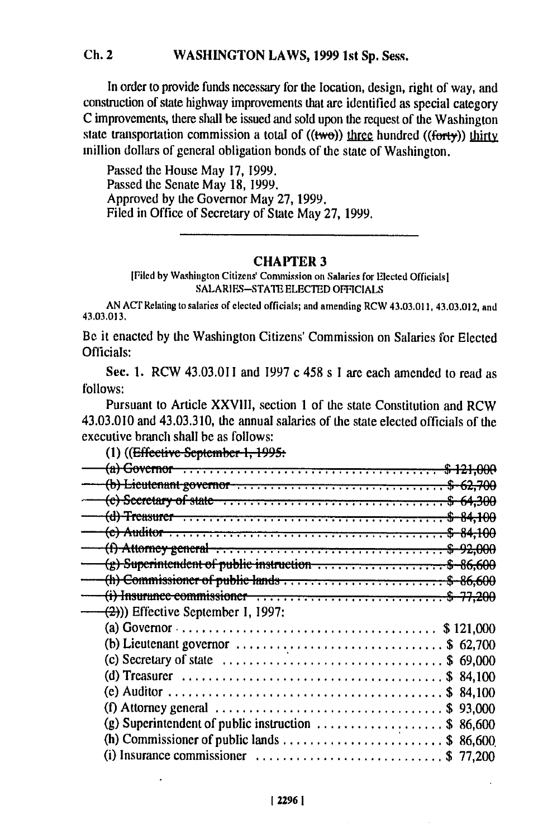## $Ch.2$ WASHINGTON LAWS, 1999 1st Sp. Sess.

In order to provide funds necessary for the location, design, right of way, and construction of state highway improvements that are identified as special category C improvements, there shall be issued and sold upon the request of the Washington state transportation commission a total of  $((two))$  three hundred  $((forty))$  thirty inillion dollars of general obligation bonds of the state of Washington.

Passed the House May 17, 1999. Passed the Senate May 18, 1999. Approved by the Governor May 27, 1999. Filed in Office of Secretary of State May 27, 1999.

## **CHAPTER 3**

[Filed by Washington Citizens' Commission on Salaries for Elected Officials] SALARIES-STATE ELECTED OFFICIALS

AN ACT Relating to salaries of elected officials; and amending RCW 43.03.011, 43.03.012, and 43.03.013.

Be it enacted by the Washington Citizens' Commission on Salaries for Elected Officials:

Sec. 1. RCW 43.03.011 and 1997 c 458 s I are each amended to read as follows:

Pursuant to Article XXVIII, section 1 of the state Constitution and RCW 43.03.010 and 43.03.310, the annual salaries of the state elected officials of the executive branch shall be as follows:

| (b) Lieutenant governor $\cdots$ $\cdots$ $\cdots$ $\cdots$ $\cdots$ $\cdots$ $\cdots$ $\cdots$ $\cdots$ $\cdots$ $\cdots$                                                                                                                                                                                                  |  |
|-----------------------------------------------------------------------------------------------------------------------------------------------------------------------------------------------------------------------------------------------------------------------------------------------------------------------------|--|
|                                                                                                                                                                                                                                                                                                                             |  |
|                                                                                                                                                                                                                                                                                                                             |  |
| <del>(e) Auditor</del>                                                                                                                                                                                                                                                                                                      |  |
|                                                                                                                                                                                                                                                                                                                             |  |
| $\frac{1}{2}$ Superintendent of public instruction $\cdots$ \$ 86,600                                                                                                                                                                                                                                                       |  |
| (h) Commissioner of public lands $\ldots$ $\ldots$ $\ldots$ $\ldots$ $\ldots$ $\ldots$ $\ldots$ $\ldots$ $\ldots$ $\ldots$ $\ldots$ $\ldots$ $\ldots$ $\ldots$ $\ldots$ $\ldots$ $\ldots$ $\ldots$ $\ldots$ $\ldots$ $\ldots$ $\ldots$ $\ldots$ $\ldots$ $\ldots$ $\ldots$ $\ldots$ $\ldots$ $\ldots$ $\ldots$ $\ldots$ $\$ |  |
|                                                                                                                                                                                                                                                                                                                             |  |
| $\left(\frac{1}{2}\right)$ ) Effective September I, 1997:                                                                                                                                                                                                                                                                   |  |
|                                                                                                                                                                                                                                                                                                                             |  |
|                                                                                                                                                                                                                                                                                                                             |  |
| (b) Lieutenant governor $\ldots \ldots \ldots \ldots \ldots \ldots \ldots \ldots$ \$ 62,700                                                                                                                                                                                                                                 |  |
| (c) Secretary of state $\dots \dots \dots \dots \dots \dots \dots \dots \dots \dots \dots$ \$ 69,000                                                                                                                                                                                                                        |  |
|                                                                                                                                                                                                                                                                                                                             |  |
|                                                                                                                                                                                                                                                                                                                             |  |
| (f) Attorney general $\ldots \ldots \ldots \ldots \ldots \ldots \ldots \ldots \ldots \ldots \ldots$ \$ 93,000                                                                                                                                                                                                               |  |
| (g) Superintendent of public instruction $\ldots \ldots \ldots \ldots \ldots$ \$ 86,600                                                                                                                                                                                                                                     |  |
| (h) Commissioner of public lands $\ldots$ \$ 86,600                                                                                                                                                                                                                                                                         |  |
| (i) Insurance commissioner $\ldots \ldots \ldots \ldots \ldots \ldots \ldots \ldots$ \$ 77,200                                                                                                                                                                                                                              |  |

(1) ((Effective September-1, 1995: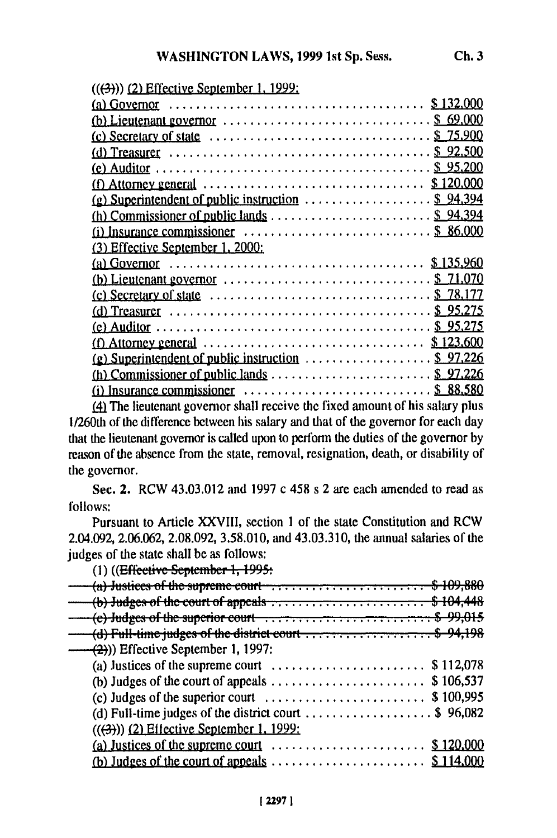| $((3))$ (2) Effective September 1, 1999;                                                                             |
|----------------------------------------------------------------------------------------------------------------------|
|                                                                                                                      |
| (b) Lieutenant governor $\ldots \ldots \ldots \ldots \ldots \ldots \ldots \ldots \ldots$ \$ 69,000                   |
|                                                                                                                      |
|                                                                                                                      |
|                                                                                                                      |
|                                                                                                                      |
|                                                                                                                      |
| (h) Commissioner of public lands $\dots \dots \dots \dots \dots \dots \dots$ \$ 94,394                               |
| (i) Insurance commissioner $\ldots \ldots \ldots \ldots \ldots \ldots \ldots \ldots \$ \$ 86,000                     |
| (3) Effective September 1, 2000:                                                                                     |
|                                                                                                                      |
| (b) Lieutenant governor $\ldots \ldots \ldots \ldots \ldots \ldots \ldots \ldots \ldots$ \$ 71.070                   |
|                                                                                                                      |
|                                                                                                                      |
|                                                                                                                      |
|                                                                                                                      |
| (f) Attorney general $\ldots$ , $\ldots$ , $\ldots$ , $\ldots$ , $\ldots$ , $\ldots$ , $\frac{\$123,600}{\$123,600}$ |
| (g) Superintendent of public instruction $\ldots \ldots \ldots \ldots$ \$ 97,226                                     |
| (i) Insurance commissioner $\ldots \ldots \ldots \ldots \ldots \ldots \ldots \ldots$ \$ 88.580                       |

*(4* The lieutenant governor shall receive the fixed amount of his salary plus 1/260th of the difference between his salary and that of the governor for each day that the lieutenant governor is called upon to perform the duties of the governor by reason of the absence from the state, removal, resignation, death, or disability of the governor.

Sec. 2. RCW 43.03.012 and 1997 c 458 s 2 are each amended to read as follows:

Pursuant to Article XXVIII, section 1 of the state Constitution and RCW 2.04.092, 2.06.062, 2.08.092, 3.58.010, and 43.03.310, the annual salaries of the judges of the state shall be as follows:

| (1) ((Effective September 1, 1995:                                                        |  |
|-------------------------------------------------------------------------------------------|--|
| $(a)$ Justices of the supreme court $\dots \dots \dots \dots \dots \dots \dots$ \$109,880 |  |
| (b) Judges of the court of appeals  \$ 104,                                               |  |
| (e) Judges of the superior court  \$99,015                                                |  |
| (d) Full-time judges of the district court \$ 94,198                                      |  |
| $-(2)$ ) Effective September 1, 1997:                                                     |  |
| (a) Justices of the supreme court $\dots \dots \dots \dots \dots \dots$ \$ 112,078        |  |
|                                                                                           |  |
|                                                                                           |  |
| (d) Full-time judges of the district court \$ 96,082                                      |  |
| $((3))$ (2) Effective September 1, 1999:                                                  |  |
|                                                                                           |  |
|                                                                                           |  |